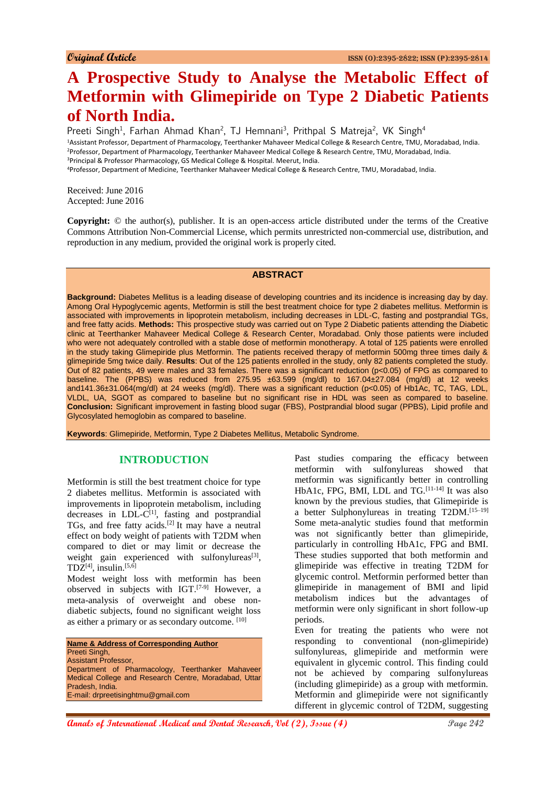# **A Prospective Study to Analyse the Metabolic Effect of Metformin with Glimepiride on Type 2 Diabetic Patients of North India.**

Preeti Singh<sup>1</sup>, Farhan Ahmad Khan<sup>2</sup>, TJ Hemnani<sup>3</sup>, Prithpal S Matreja<sup>2</sup>, VK Singh<sup>4</sup> <sup>1</sup>Assistant Professor, Department of Pharmacology, Teerthanker Mahaveer Medical College & Research Centre, TMU, Moradabad, India. <sup>2</sup>Professor, Department of Pharmacology, Teerthanker Mahaveer Medical College & Research Centre, TMU, Moradabad, India. <sup>3</sup>Principal & Professor Pharmacology, GS Medical College & Hospital. Meerut, India. <sup>4</sup>Professor, Department of Medicine, Teerthanker Mahaveer Medical College & Research Centre, TMU, Moradabad, India.

Received: June 2016 Accepted: June 2016

**Copyright:** © the author(s), publisher. It is an open-access article distributed under the terms of the Creative Commons Attribution Non-Commercial License, which permits unrestricted non-commercial use, distribution, and reproduction in any medium, provided the original work is properly cited.

### **ABSTRACT**

**Background:** Diabetes Mellitus is a leading disease of developing countries and its incidence is increasing day by day. Among Oral Hypoglycemic agents, Metformin is still the best treatment choice for type 2 diabetes mellitus. Metformin is associated with improvements in lipoprotein metabolism, including decreases in LDL-C, fasting and postprandial TGs, and free fatty acids. **Methods:** This prospective study was carried out on Type 2 Diabetic patients attending the Diabetic clinic at Teerthanker Mahaveer Medical College & Research Center, Moradabad. Only those patients were included who were not adequately controlled with a stable dose of metformin monotherapy. A total of 125 patients were enrolled in the study taking Glimepiride plus Metformin. The patients received therapy of metformin 500mg three times daily & glimepiride 5mg twice daily. **Results**: Out of the 125 patients enrolled in the study, only 82 patients completed the study. Out of 82 patients, 49 were males and 33 females. There was a significant reduction (p<0.05) of FPG as compared to baseline. The (PPBS) was reduced from 275.95 ±63.599 (mg/dl) to 167.04±27.084 (mg/dl) at 12 weeks and141.36±31.064(mg/dl) at 24 weeks (mg/dl). There was a significant reduction (p<0.05) of Hb1Ac, TC, TAG, LDL, VLDL, UA, SGOT as compared to baseline but no significant rise in HDL was seen as compared to baseline. **Conclusion:** Significant improvement in fasting blood sugar (FBS), Postprandial blood sugar (PPBS), Lipid profile and Glycosylated hemoglobin as compared to baseline.

**Keywords**: Glimepiride, Metformin, Type 2 Diabetes Mellitus, Metabolic Syndrome.

# **INTRODUCTION**

Metformin is still the best treatment choice for type 2 diabetes mellitus. Metformin is associated with improvements in lipoprotein metabolism, including decreases in LDL-C<sup>[1]</sup>, fasting and postprandial TGs, and free fatty acids.[2] It may have a neutral effect on body weight of patients with T2DM when compared to diet or may limit or decrease the weight gain experienced with sulfonylureas $[3]$ ,  $TDZ^{[4]}$ , insulin.<sup>[5,6]</sup>

Modest weight loss with metformin has been observed in subjects with IGT.[7-9] However, a meta-analysis of overweight and obese nondiabetic subjects, found no significant weight loss as either a primary or as secondary outcome. [10]

**Name & Address of Corresponding Author** Preeti Singh, Assistant Professor, Department of Pharmacology, Teerthanker Mahaveer Medical College and Research Centre, Moradabad, Uttar Pradesh, India. E-mail: drpreetisinghtmu@gmail.com

Past studies comparing the efficacy between metformin with sulfonylureas showed that metformin was significantly better in controlling HbA1c, FPG, BMI, LDL and TG.<sup>[11-14]</sup> It was also known by the previous studies, that Glimepiride is a better Sulphonylureas in treating T2DM.[15–19] Some meta-analytic studies found that metformin was not significantly better than glimepiride, particularly in controlling HbA1c, FPG and BMI. These studies supported that both metformin and glimepiride was effective in treating T2DM for glycemic control. Metformin performed better than glimepiride in management of BMI and lipid metabolism indices but the advantages of metformin were only significant in short follow-up periods.

Even for treating the patients who were not responding to conventional (non-glimepiride) sulfonylureas, glimepiride and metformin were equivalent in glycemic control. This finding could not be achieved by comparing sulfonylureas (including glimepiride) as a group with metformin. Metformin and glimepiride were not significantly different in glycemic control of T2DM, suggesting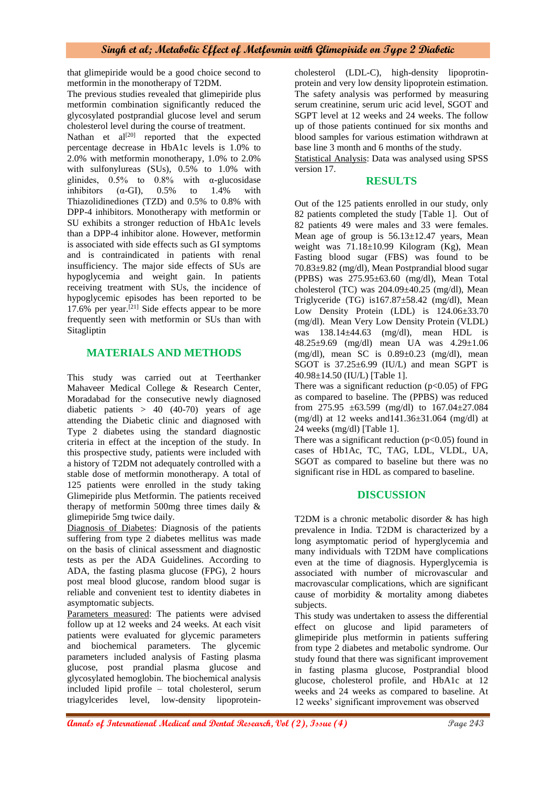## **Singh et al; Metabolic Effect of Metformin with Glimepiride on Type 2 Diabetic**

that glimepiride would be a good choice second to metformin in the monotherapy of T2DM.

The previous studies revealed that glimepiride plus metformin combination significantly reduced the glycosylated postprandial glucose level and serum cholesterol level during the course of treatment.

Nathan et al<sup>[20]</sup> reported that the expected percentage decrease in HbA1c levels is 1.0% to 2.0% with metformin monotherapy, 1.0% to 2.0% with sulfonylureas (SUs), 0.5% to 1.0% with glinides,  $0.5\%$  to  $0.8\%$  with  $\alpha$ -glucosidase inhibitors  $(\alpha$ -GI),  $0.5\%$  to 1.4% with Thiazolidinediones (TZD) and 0.5% to 0.8% with DPP-4 inhibitors. Monotherapy with metformin or SU exhibits a stronger reduction of HbA1c levels than a DPP-4 inhibitor alone. However, metformin is associated with side effects such as GI symptoms and is contraindicated in patients with renal insufficiency. The major side effects of SUs are hypoglycemia and weight gain. In patients receiving treatment with SUs, the incidence of hypoglycemic episodes has been reported to be  $17.6\%$  per year.<sup>[21]</sup> Side effects appear to be more frequently seen with metformin or SUs than with Sitagliptin

# **MATERIALS AND METHODS**

This study was carried out at Teerthanker Mahaveer Medical College & Research Center, Moradabad for the consecutive newly diagnosed diabetic patients  $> 40$  (40-70) years of age attending the Diabetic clinic and diagnosed with Type 2 diabetes using the standard diagnostic criteria in effect at the inception of the study. In this prospective study, patients were included with a history of T2DM not adequately controlled with a stable dose of metformin monotherapy. A total of 125 patients were enrolled in the study taking Glimepiride plus Metformin. The patients received therapy of metformin 500mg three times daily & glimepiride 5mg twice daily.

Diagnosis of Diabetes: Diagnosis of the patients suffering from type 2 diabetes mellitus was made on the basis of clinical assessment and diagnostic tests as per the ADA Guidelines. According to ADA, the fasting plasma glucose (FPG), 2 hours post meal blood glucose, random blood sugar is reliable and convenient test to identity diabetes in asymptomatic subjects.

Parameters measured: The patients were advised follow up at 12 weeks and 24 weeks. At each visit patients were evaluated for glycemic parameters and biochemical parameters. The glycemic parameters included analysis of Fasting plasma glucose, post prandial plasma glucose and glycosylated hemoglobin. The biochemical analysis included lipid profile – total cholesterol, serum triagylcerides level, low-density lipoproteincholesterol (LDL-C), high-density lipoprotinprotein and very low density lipoprotein estimation. The safety analysis was performed by measuring serum creatinine, serum uric acid level, SGOT and SGPT level at 12 weeks and 24 weeks. The follow up of those patients continued for six months and blood samples for various estimation withdrawn at base line 3 month and 6 months of the study.

Statistical Analysis: Data was analysed using SPSS version 17.

## **RESULTS**

Out of the 125 patients enrolled in our study, only 82 patients completed the study [Table 1]. Out of 82 patients 49 were males and 33 were females. Mean age of group is  $56.13 \pm 12.47$  years, Mean weight was 71.18±10.99 Kilogram (Kg), Mean Fasting blood sugar (FBS) was found to be 70.83±9.82 (mg/dl), Mean Postprandial blood sugar (PPBS) was 275.95±63.60 (mg/dl), Mean Total cholesterol (TC) was 204.09±40.25 (mg/dl), Mean Triglyceride (TG) is167.87±58.42 (mg/dl), Mean Low Density Protein (LDL) is 124.06±33.70 (mg/dl). Mean Very Low Density Protein (VLDL) was 138.14±44.63 (mg/dl), mean HDL is 48.25±9.69 (mg/dl) mean UA was 4.29±1.06  $(mg/dl)$ , mean SC is  $0.89\pm0.23$  (mg/dl), mean SGOT is  $37.25 \pm 6.99$  (IU/L) and mean SGPT is 40.98±14.50 (IU/L) [Table 1].

There was a significant reduction  $(p<0.05)$  of FPG as compared to baseline. The (PPBS) was reduced from 275.95  $\pm 63.599$  (mg/dl) to 167.04 $\pm 27.084$ (mg/dl) at 12 weeks and141.36±31.064 (mg/dl) at 24 weeks (mg/dl) [Table 1].

There was a significant reduction  $(p<0.05)$  found in cases of Hb1Ac, TC, TAG, LDL, VLDL, UA, SGOT as compared to baseline but there was no significant rise in HDL as compared to baseline.

## **DISCUSSION**

T2DM is a chronic metabolic disorder & has high prevalence in India. T2DM is characterized by a long asymptomatic period of hyperglycemia and many individuals with T2DM have complications even at the time of diagnosis. Hyperglycemia is associated with number of microvascular and macrovascular complications, which are significant cause of morbidity & mortality among diabetes subjects.

This study was undertaken to assess the differential effect on glucose and lipid parameters of glimepiride plus metformin in patients suffering from type 2 diabetes and metabolic syndrome. Our study found that there was significant improvement in fasting plasma glucose, Postprandial blood glucose, cholesterol profile, and HbA1c at 12 weeks and 24 weeks as compared to baseline. At 12 weeks' significant improvement was observed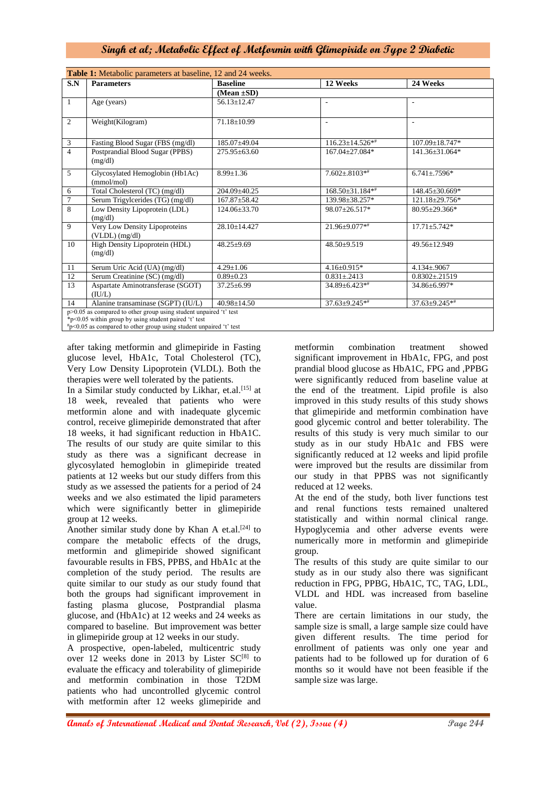# **Singh et al; Metabolic Effect of Metformin with Glimepiride on Type 2 Diabetic**

| S.N<br><b>Parameters</b>                   |                                    | <b>Baseline</b>    | 12 Weeks                 | 24 Weeks                 |
|--------------------------------------------|------------------------------------|--------------------|--------------------------|--------------------------|
|                                            |                                    | $(Mean \pm SD)$    |                          |                          |
| 1<br>Age (years)                           |                                    | $56.13 \pm 12.47$  | $\overline{\phantom{a}}$ | $\sim$                   |
|                                            |                                    |                    |                          |                          |
| 2<br>Weight(Kilogram)                      |                                    | 71.18±10.99        | $\blacksquare$           | $\overline{\phantom{a}}$ |
|                                            |                                    |                    |                          |                          |
| 3<br>$\overline{4}$                        | Fasting Blood Sugar (FBS (mg/dl)   | 185.07±49.04       | $116.23 \pm 14.526$ **   | $107.09 \pm 18.747*$     |
| Postprandial Blood Sugar (PPBS)<br>(mg/dl) |                                    | $275.95\pm 63.60$  | 167.04+27.084*           | 141.36±31.064*           |
| 5<br>(mmol/mol)                            | Glycosylated Hemoglobin (Hb1Ac)    | $8.99 \pm 1.36$    | $7.602 \pm .8103**$      | $6.741 \pm .7596*$       |
| 6                                          | Total Cholesterol (TC) (mg/dl)     | 204.09±40.25       | $168.50\pm31.184**$      | 148.45±30.669*           |
| $\overline{7}$                             | Serum Trigylcerides (TG) (mg/dl)   | $167.87 \pm 58.42$ | 139.98±38.257*           | 121.18±29.756*           |
| 8<br>(mg/dl)                               | Low Density Lipoprotein (LDL)      | $124.06 \pm 33.70$ | $98.07 + 26.517*$        | $80.95 + 29.366*$        |
| 9<br>$(VLDL)$ $(mg/dl)$                    | Very Low Density Lipoproteins      | $28.10 \pm 14.427$ | $21.96 + 9.077$ **       | $17.71 \pm 5.742*$       |
| 10<br>(mg/dl)                              | High Density Lipoprotein (HDL)     | $48.25 \pm 9.69$   | $48.50+9.519$            | 49.56±12.949             |
| 11                                         | Serum Uric Acid (UA) (mg/dl)       | $4.29 \pm 1.06$    | $4.16 \pm 0.915*$        | $4.134 \pm 0.9067$       |
| 12                                         | Serum Creatinine (SC) (mg/dl)      | $0.89 \pm 0.23$    | $0.831 \pm 0.2413$       | $0.8302 \pm 0.21519$     |
| 13<br>(IU/L)                               | Aspartate Aminotransferase (SGOT)  | $37.25 \pm 6.99$   | 34.89±6.423**            | 34.86±6.997*             |
| 14                                         | Alanine transaminase (SGPT) (IU/L) | $40.98 + 14.50$    | $37.63 \pm 9.245**$      | $37.63 \pm 9.245**$      |

after taking metformin and glimepiride in Fasting glucose level, HbA1c, Total Cholesterol (TC), Very Low Density Lipoprotein (VLDL). Both the therapies were well tolerated by the patients.

In a Similar study conducted by Likhar, et.al.<sup>[15]</sup> at 18 week, revealed that patients who were metformin alone and with inadequate glycemic control, receive glimepiride demonstrated that after 18 weeks, it had significant reduction in HbA1C. The results of our study are quite similar to this study as there was a significant decrease in glycosylated hemoglobin in glimepiride treated patients at 12 weeks but our study differs from this study as we assessed the patients for a period of 24 weeks and we also estimated the lipid parameters which were significantly better in glimepiride group at 12 weeks.

Another similar study done by Khan A et.al.<sup>[24]</sup> to compare the metabolic effects of the drugs, metformin and glimepiride showed significant favourable results in FBS, PPBS, and HbA1c at the completion of the study period. The results are quite similar to our study as our study found that both the groups had significant improvement in fasting plasma glucose, Postprandial plasma glucose, and (HbA1c) at 12 weeks and 24 weeks as compared to baseline. But improvement was better in glimepiride group at 12 weeks in our study.

A prospective, open-labeled, multicentric study over 12 weeks done in 2013 by Lister SC<sup>[8]</sup> to evaluate the efficacy and tolerability of glimepiride and metformin combination in those T2DM patients who had uncontrolled glycemic control with metformin after 12 weeks glimepiride and

metformin combination treatment showed significant improvement in HbA1c, FPG, and post prandial blood glucose as HbA1C, FPG and ,PPBG were significantly reduced from baseline value at the end of the treatment. Lipid profile is also improved in this study results of this study shows that glimepiride and metformin combination have good glycemic control and better tolerability. The results of this study is very much similar to our study as in our study HbA1c and FBS were significantly reduced at 12 weeks and lipid profile were improved but the results are dissimilar from our study in that PPBS was not significantly reduced at 12 weeks.

At the end of the study, both liver functions test and renal functions tests remained unaltered statistically and within normal clinical range. Hypoglycemia and other adverse events were numerically more in metformin and glimepiride group.

The results of this study are quite similar to our study as in our study also there was significant reduction in FPG, PPBG, HbA1C, TC, TAG, LDL, VLDL and HDL was increased from baseline value.

There are certain limitations in our study, the sample size is small, a large sample size could have given different results. The time period for enrollment of patients was only one year and patients had to be followed up for duration of 6 months so it would have not been feasible if the sample size was large.